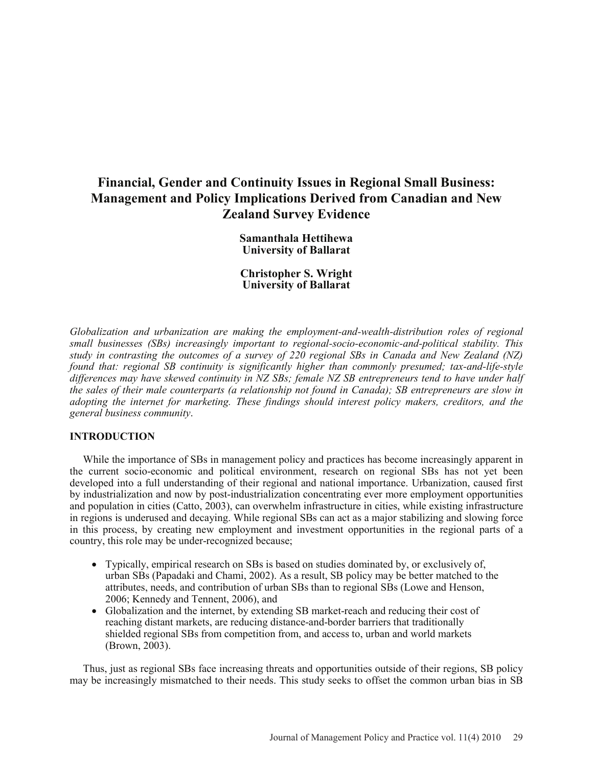# **Financial, Gender and Continuity Issues in Regional Small Business: Management and Policy Implications Derived from Canadian and New Zealand Survey Evidence**

**Samanthala Hettihewa University of Ballarat** 

**Christopher S. Wright University of Ballarat** 

*Globalization and urbanization are making the employment-and-wealth-distribution roles of regional small businesses (SBs) increasingly important to regional-socio-economic-and-political stability. This study in contrasting the outcomes of a survey of 220 regional SBs in Canada and New Zealand (NZ) found that: regional SB continuity is significantly higher than commonly presumed; tax-and-life-style differences may have skewed continuity in NZ SBs; female NZ SB entrepreneurs tend to have under half the sales of their male counterparts (a relationship not found in Canada); SB entrepreneurs are slow in adopting the internet for marketing. These findings should interest policy makers, creditors, and the general business community*.

# **INTRODUCTION**

While the importance of SBs in management policy and practices has become increasingly apparent in the current socio-economic and political environment, research on regional SBs has not yet been developed into a full understanding of their regional and national importance. Urbanization, caused first by industrialization and now by post-industrialization concentrating ever more employment opportunities and population in cities (Catto, 2003), can overwhelm infrastructure in cities, while existing infrastructure in regions is underused and decaying. While regional SBs can act as a major stabilizing and slowing force in this process, by creating new employment and investment opportunities in the regional parts of a country, this role may be under-recognized because;

- Typically, empirical research on SBs is based on studies dominated by, or exclusively of, urban SBs (Papadaki and Chami, 2002). As a result, SB policy may be better matched to the attributes, needs, and contribution of urban SBs than to regional SBs (Lowe and Henson, 2006; Kennedy and Tennent, 2006), and
- Globalization and the internet, by extending SB market-reach and reducing their cost of reaching distant markets, are reducing distance-and-border barriers that traditionally shielded regional SBs from competition from, and access to, urban and world markets (Brown, 2003).

Thus, just as regional SBs face increasing threats and opportunities outside of their regions, SB policy may be increasingly mismatched to their needs. This study seeks to offset the common urban bias in SB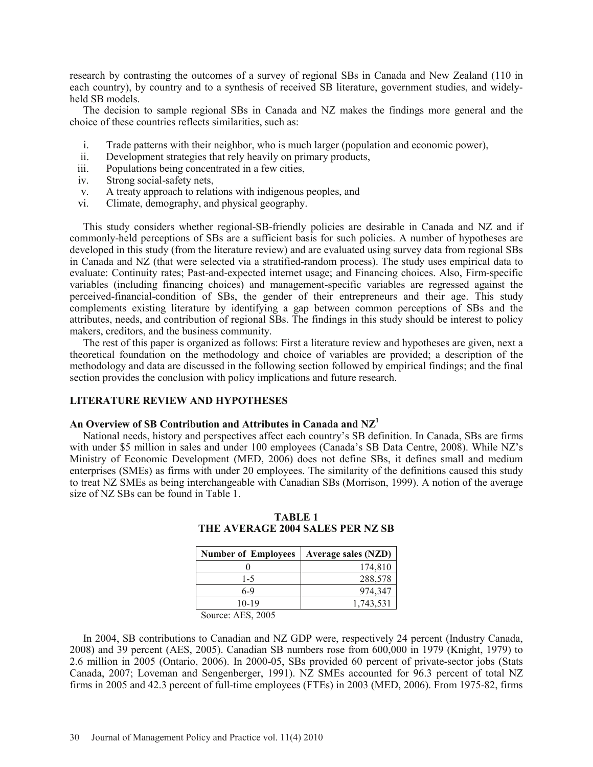research by contrasting the outcomes of a survey of regional SBs in Canada and New Zealand (110 in each country), by country and to a synthesis of received SB literature, government studies, and widelyheld SB models.

The decision to sample regional SBs in Canada and NZ makes the findings more general and the choice of these countries reflects similarities, such as:

- i. Trade patterns with their neighbor, who is much larger (population and economic power),
- ii. Development strategies that rely heavily on primary products,
- iii. Populations being concentrated in a few cities,
- iv. Strong social-safety nets,
- v. A treaty approach to relations with indigenous peoples, and
- vi. Climate, demography, and physical geography.

This study considers whether regional-SB-friendly policies are desirable in Canada and NZ and if commonly-held perceptions of SBs are a sufficient basis for such policies. A number of hypotheses are developed in this study (from the literature review) and are evaluated using survey data from regional SBs in Canada and NZ (that were selected via a stratified-random process). The study uses empirical data to evaluate: Continuity rates; Past-and-expected internet usage; and Financing choices. Also, Firm-specific variables (including financing choices) and management-specific variables are regressed against the perceived-financial-condition of SBs, the gender of their entrepreneurs and their age. This study complements existing literature by identifying a gap between common perceptions of SBs and the attributes, needs, and contribution of regional SBs. The findings in this study should be interest to policy makers, creditors, and the business community.

The rest of this paper is organized as follows: First a literature review and hypotheses are given, next a theoretical foundation on the methodology and choice of variables are provided; a description of the methodology and data are discussed in the following section followed by empirical findings; and the final section provides the conclusion with policy implications and future research.

# **LITERATURE REVIEW AND HYPOTHESES**

# **An Overview of SB Contribution and Attributes in Canada and NZ1**

National needs, history and perspectives affect each country's SB definition. In Canada, SBs are firms with under \$5 million in sales and under 100 employees (Canada's SB Data Centre, 2008). While NZ's Ministry of Economic Development (MED, 2006) does not define SBs, it defines small and medium enterprises (SMEs) as firms with under 20 employees. The similarity of the definitions caused this study to treat NZ SMEs as being interchangeable with Canadian SBs (Morrison, 1999). A notion of the average size of NZ SBs can be found in Table 1.

| <b>Number of Employees</b> | <b>Average sales (NZD)</b> |
|----------------------------|----------------------------|
|                            | 174,810                    |
| $1 - 5$                    | 288,578                    |
| 6-9                        | 974.347                    |
| $10 - 19$                  | 1,743,531                  |

**TABLE 1 THE AVERAGE 2004 SALES PER NZ SB**

Source: AES, 2005

In 2004, SB contributions to Canadian and NZ GDP were, respectively 24 percent (Industry Canada, 2008) and 39 percent (AES, 2005). Canadian SB numbers rose from 600,000 in 1979 (Knight, 1979) to 2.6 million in 2005 (Ontario, 2006). In 2000-05, SBs provided 60 percent of private-sector jobs (Stats Canada, 2007; Loveman and Sengenberger, 1991). NZ SMEs accounted for 96.3 percent of total NZ firms in 2005 and 42.3 percent of full-time employees (FTEs) in 2003 (MED, 2006). From 1975-82, firms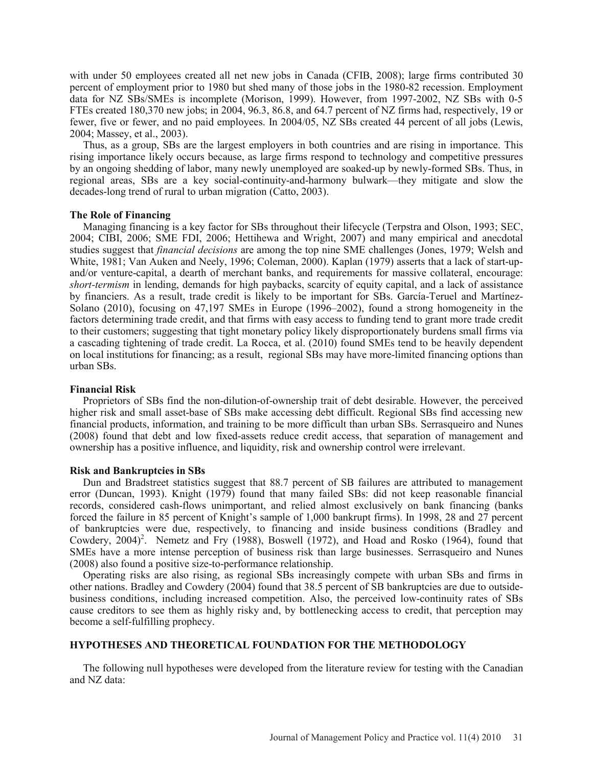with under 50 employees created all net new jobs in Canada (CFIB, 2008); large firms contributed 30 percent of employment prior to 1980 but shed many of those jobs in the 1980-82 recession. Employment data for NZ SBs/SMEs is incomplete (Morison, 1999). However, from 1997-2002, NZ SBs with 0-5 FTEs created 180,370 new jobs; in 2004, 96.3, 86.8, and 64.7 percent of NZ firms had, respectively, 19 or fewer, five or fewer, and no paid employees. In 2004/05, NZ SBs created 44 percent of all jobs (Lewis, 2004; Massey, et al., 2003).

Thus, as a group, SBs are the largest employers in both countries and are rising in importance. This rising importance likely occurs because, as large firms respond to technology and competitive pressures by an ongoing shedding of labor, many newly unemployed are soaked-up by newly-formed SBs. Thus, in regional areas, SBs are a key social-continuity-and-harmony bulwark—they mitigate and slow the decades-long trend of rural to urban migration (Catto, 2003).

#### **The Role of Financing**

Managing financing is a key factor for SBs throughout their lifecycle (Terpstra and Olson, 1993; SEC, 2004; CIBI, 2006; SME FDI, 2006; Hettihewa and Wright, 2007) and many empirical and anecdotal studies suggest that *financial decisions* are among the top nine SME challenges (Jones, 1979; Welsh and White, 1981; Van Auken and Neely, 1996; Coleman, 2000). Kaplan (1979) asserts that a lack of start-upand/or venture-capital, a dearth of merchant banks, and requirements for massive collateral, encourage: *short-termism* in lending, demands for high paybacks, scarcity of equity capital, and a lack of assistance by financiers. As a result, trade credit is likely to be important for SBs. García-Teruel and Martínez-Solano (2010), focusing on 47,197 SMEs in Europe (1996–2002), found a strong homogeneity in the factors determining trade credit, and that firms with easy access to funding tend to grant more trade credit to their customers; suggesting that tight monetary policy likely disproportionately burdens small firms via a cascading tightening of trade credit. La Rocca, et al. (2010) found SMEs tend to be heavily dependent on local institutions for financing; as a result, regional SBs may have more-limited financing options than urban SBs.

# **Financial Risk**

 Proprietors of SBs find the non-dilution-of-ownership trait of debt desirable. However, the perceived higher risk and small asset-base of SBs make accessing debt difficult. Regional SBs find accessing new financial products, information, and training to be more difficult than urban SBs. Serrasqueiro and Nunes (2008) found that debt and low fixed-assets reduce credit access, that separation of management and ownership has a positive influence, and liquidity, risk and ownership control were irrelevant.

#### **Risk and Bankruptcies in SBs**

Dun and Bradstreet statistics suggest that 88.7 percent of SB failures are attributed to management error (Duncan, 1993). Knight (1979) found that many failed SBs: did not keep reasonable financial records, considered cash-flows unimportant, and relied almost exclusively on bank financing (banks forced the failure in 85 percent of Knight's sample of 1,000 bankrupt firms). In 1998, 28 and 27 percent of bankruptcies were due, respectively, to financing and inside business conditions (Bradley and Cowdery,  $2004$ <sup>2</sup>. Nemetz and Fry (1988), Boswell (1972), and Hoad and Rosko (1964), found that SMEs have a more intense perception of business risk than large businesses. Serrasqueiro and Nunes (2008) also found a positive size-to-performance relationship.

Operating risks are also rising, as regional SBs increasingly compete with urban SBs and firms in other nations. Bradley and Cowdery (2004) found that 38.5 percent of SB bankruptcies are due to outsidebusiness conditions, including increased competition. Also, the perceived low-continuity rates of SBs cause creditors to see them as highly risky and, by bottlenecking access to credit, that perception may become a self-fulfilling prophecy.

# **HYPOTHESES AND THEORETICAL FOUNDATION FOR THE METHODOLOGY**

The following null hypotheses were developed from the literature review for testing with the Canadian and NZ data: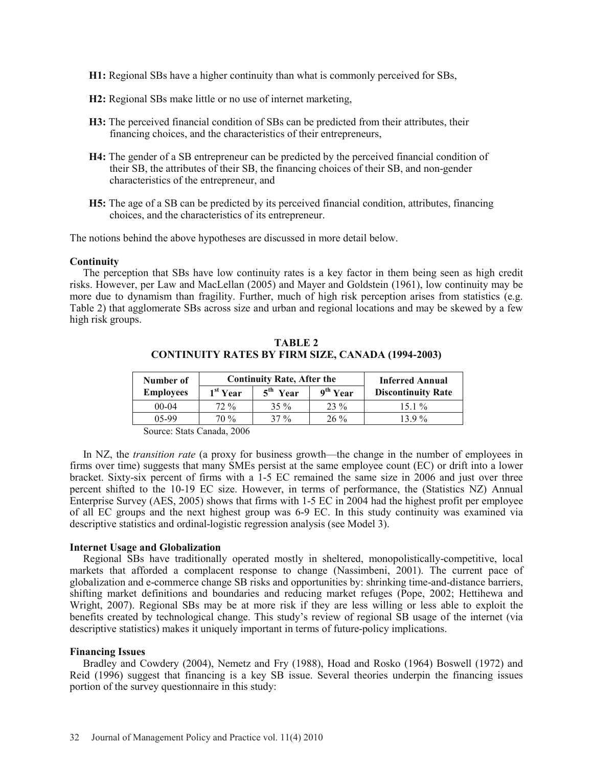- **H1:** Regional SBs have a higher continuity than what is commonly perceived for SBs,
- **H2:** Regional SBs make little or no use of internet marketing,
- **H3:** The perceived financial condition of SBs can be predicted from their attributes, their financing choices, and the characteristics of their entrepreneurs,
- **H4:** The gender of a SB entrepreneur can be predicted by the perceived financial condition of their SB, the attributes of their SB, the financing choices of their SB, and non-gender characteristics of the entrepreneur, and
- **H5:** The age of a SB can be predicted by its perceived financial condition, attributes, financing choices, and the characteristics of its entrepreneur.

The notions behind the above hypotheses are discussed in more detail below.

#### **Continuity**

The perception that SBs have low continuity rates is a key factor in them being seen as high credit risks. However, per Law and MacLellan (2005) and Mayer and Goldstein (1961), low continuity may be more due to dynamism than fragility. Further, much of high risk perception arises from statistics (e.g. Table 2) that agglomerate SBs across size and urban and regional locations and may be skewed by a few high risk groups.

| Number of        |                      | <b>Continuity Rate, After the</b> | <b>Inferred Annual</b> |                           |  |
|------------------|----------------------|-----------------------------------|------------------------|---------------------------|--|
| <b>Employees</b> | 1 <sup>st</sup> Year | $5th$ Year                        | 9 <sup>th</sup> Year   | <b>Discontinuity Rate</b> |  |
| $00-04$          | $72\%$               | $35\%$                            | $23\%$                 | $151\%$                   |  |
| 05-99            | $70\%$               | $37\%$                            | $26\%$                 | 139%                      |  |

**TABLE 2 CONTINUITY RATES BY FIRM SIZE, CANADA (1994-2003)** 

Source: Stats Canada, 2006

In NZ, the *transition rate* (a proxy for business growth—the change in the number of employees in firms over time) suggests that many SMEs persist at the same employee count (EC) or drift into a lower bracket. Sixty-six percent of firms with a 1-5 EC remained the same size in 2006 and just over three percent shifted to the 10-19 EC size. However, in terms of performance, the (Statistics NZ) Annual Enterprise Survey (AES, 2005) shows that firms with 1-5 EC in 2004 had the highest profit per employee of all EC groups and the next highest group was 6-9 EC. In this study continuity was examined via descriptive statistics and ordinal-logistic regression analysis (see Model 3).

#### **Internet Usage and Globalization**

Regional SBs have traditionally operated mostly in sheltered, monopolistically-competitive, local markets that afforded a complacent response to change (Nassimbeni, 2001). The current pace of globalization and e-commerce change SB risks and opportunities by: shrinking time-and-distance barriers, shifting market definitions and boundaries and reducing market refuges (Pope, 2002; Hettihewa and Wright, 2007). Regional SBs may be at more risk if they are less willing or less able to exploit the benefits created by technological change. This study's review of regional SB usage of the internet (via descriptive statistics) makes it uniquely important in terms of future-policy implications.

#### **Financing Issues**

Bradley and Cowdery (2004), Nemetz and Fry (1988), Hoad and Rosko (1964) Boswell (1972) and Reid (1996) suggest that financing is a key SB issue. Several theories underpin the financing issues portion of the survey questionnaire in this study: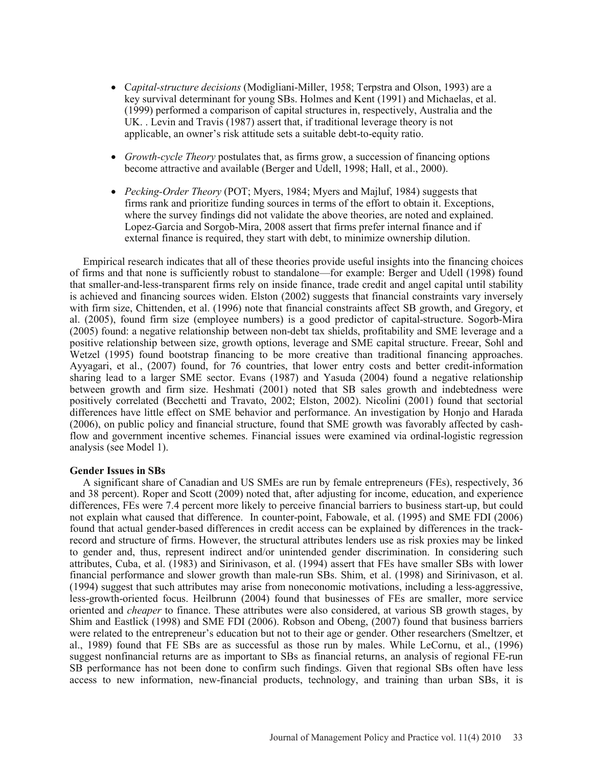- x C*apital-structure decisions* (Modigliani-Miller, 1958; Terpstra and Olson, 1993) are a key survival determinant for young SBs. Holmes and Kent (1991) and Michaelas, et al. (1999) performed a comparison of capital structures in, respectively, Australia and the UK. . Levin and Travis (1987) assert that, if traditional leverage theory is not applicable, an owner's risk attitude sets a suitable debt-to-equity ratio.
- *Growth-cycle Theory* postulates that, as firms grow, a succession of financing options become attractive and available (Berger and Udell, 1998; Hall, et al., 2000).
- *Pecking-Order Theory* (POT; Myers, 1984; Myers and Majluf, 1984) suggests that firms rank and prioritize funding sources in terms of the effort to obtain it. Exceptions, where the survey findings did not validate the above theories, are noted and explained. Lopez-Garcia and Sorgob-Mira, 2008 assert that firms prefer internal finance and if external finance is required, they start with debt, to minimize ownership dilution.

Empirical research indicates that all of these theories provide useful insights into the financing choices of firms and that none is sufficiently robust to standalone—for example: Berger and Udell (1998) found that smaller-and-less-transparent firms rely on inside finance, trade credit and angel capital until stability is achieved and financing sources widen. Elston (2002) suggests that financial constraints vary inversely with firm size, Chittenden, et al. (1996) note that financial constraints affect SB growth, and Gregory, et al. (2005), found firm size (employee numbers) is a good predictor of capital-structure. Sogorb-Mira (2005) found: a negative relationship between non-debt tax shields, profitability and SME leverage and a positive relationship between size, growth options, leverage and SME capital structure. Freear, Sohl and Wetzel (1995) found bootstrap financing to be more creative than traditional financing approaches. Ayyagari, et al., (2007) found, for 76 countries, that lower entry costs and better credit-information sharing lead to a larger SME sector. Evans (1987) and Yasuda (2004) found a negative relationship between growth and firm size. Heshmati (2001) noted that SB sales growth and indebtedness were positively correlated (Becchetti and Travato, 2002; Elston, 2002). Nicolini (2001) found that sectorial differences have little effect on SME behavior and performance. An investigation by Honjo and Harada (2006), on public policy and financial structure, found that SME growth was favorably affected by cashflow and government incentive schemes. Financial issues were examined via ordinal-logistic regression analysis (see Model 1).

#### **Gender Issues in SBs**

A significant share of Canadian and US SMEs are run by female entrepreneurs (FEs), respectively, 36 and 38 percent). Roper and Scott (2009) noted that, after adjusting for income, education, and experience differences, FEs were 7.4 percent more likely to perceive financial barriers to business start-up, but could not explain what caused that difference. In counter-point, Fabowale, et al. (1995) and SME FDI (2006) found that actual gender-based differences in credit access can be explained by differences in the trackrecord and structure of firms. However, the structural attributes lenders use as risk proxies may be linked to gender and, thus, represent indirect and/or unintended gender discrimination. In considering such attributes, Cuba, et al. (1983) and Sirinivason, et al. (1994) assert that FEs have smaller SBs with lower financial performance and slower growth than male-run SBs. Shim, et al. (1998) and Sirinivason, et al. (1994) suggest that such attributes may arise from noneconomic motivations, including a less-aggressive, less-growth-oriented focus. Heilbrunn (2004) found that businesses of FEs are smaller, more service oriented and *cheaper* to finance. These attributes were also considered, at various SB growth stages, by Shim and Eastlick (1998) and SME FDI (2006). Robson and Obeng, (2007) found that business barriers were related to the entrepreneur's education but not to their age or gender. Other researchers (Smeltzer, et al., 1989) found that FE SBs are as successful as those run by males. While LeCornu, et al., (1996) suggest nonfinancial returns are as important to SBs as financial returns, an analysis of regional FE-run SB performance has not been done to confirm such findings. Given that regional SBs often have less access to new information, new-financial products, technology, and training than urban SBs, it is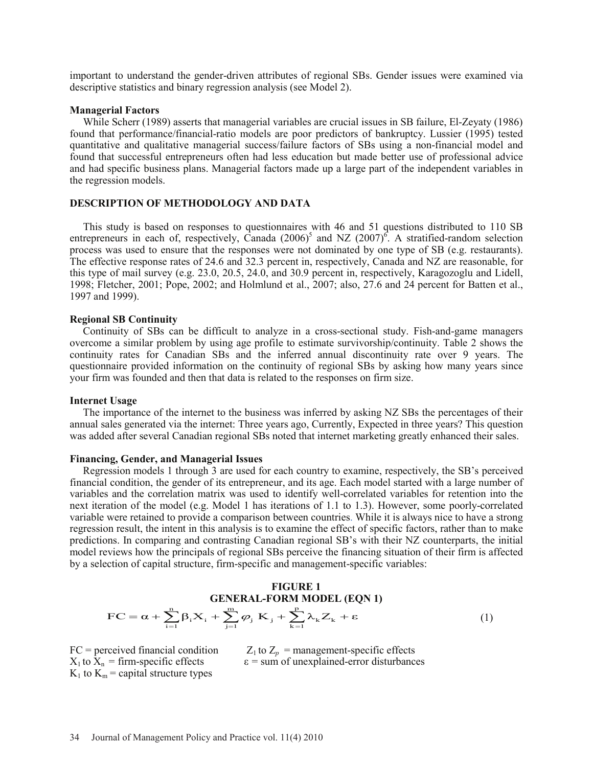important to understand the gender-driven attributes of regional SBs. Gender issues were examined via descriptive statistics and binary regression analysis (see Model 2).

#### **Managerial Factors**

While Scherr (1989) asserts that managerial variables are crucial issues in SB failure, El-Zeyaty (1986) found that performance/financial-ratio models are poor predictors of bankruptcy. Lussier (1995) tested quantitative and qualitative managerial success/failure factors of SBs using a non-financial model and found that successful entrepreneurs often had less education but made better use of professional advice and had specific business plans. Managerial factors made up a large part of the independent variables in the regression models.

# **DESCRIPTION OF METHODOLOGY AND DATA**

This study is based on responses to questionnaires with 46 and 51 questions distributed to 110 SB entrepreneurs in each of, respectively, Canada  $(2006)^5$  and NZ  $(2007)^6$ . A stratified-random selection process was used to ensure that the responses were not dominated by one type of SB (e.g. restaurants). The effective response rates of 24.6 and 32.3 percent in, respectively, Canada and NZ are reasonable, for this type of mail survey (e.g. 23.0, 20.5, 24.0, and 30.9 percent in, respectively, Karagozoglu and Lidell, 1998; Fletcher, 2001; Pope, 2002; and Holmlund et al., 2007; also, 27.6 and 24 percent for Batten et al., 1997 and 1999).

#### **Regional SB Continuity**

Continuity of SBs can be difficult to analyze in a cross-sectional study. Fish-and-game managers overcome a similar problem by using age profile to estimate survivorship/continuity. Table 2 shows the continuity rates for Canadian SBs and the inferred annual discontinuity rate over 9 years. The questionnaire provided information on the continuity of regional SBs by asking how many years since your firm was founded and then that data is related to the responses on firm size.

#### **Internet Usage**

The importance of the internet to the business was inferred by asking NZ SBs the percentages of their annual sales generated via the internet: Three years ago, Currently, Expected in three years? This question was added after several Canadian regional SBs noted that internet marketing greatly enhanced their sales.

#### **Financing, Gender, and Managerial Issues**

Regression models 1 through 3 are used for each country to examine, respectively, the SB's perceived financial condition, the gender of its entrepreneur, and its age. Each model started with a large number of variables and the correlation matrix was used to identify well-correlated variables for retention into the next iteration of the model (e.g. Model 1 has iterations of 1.1 to 1.3). However, some poorly-correlated variable were retained to provide a comparison between countries. While it is always nice to have a strong regression result, the intent in this analysis is to examine the effect of specific factors, rather than to make predictions. In comparing and contrasting Canadian regional SB's with their NZ counterparts, the initial model reviews how the principals of regional SBs perceive the financing situation of their firm is affected by a selection of capital structure, firm-specific and management-specific variables:

#### **FIGURE 1 GENERAL-FORM MODEL (EQN 1)**  $FC = \alpha + \sum_{i=1}^{n} \beta_i X_i + \sum_{i=1}^{m} \varphi_i K_i + \sum_{i=1}^{p} \lambda_k Z_k + \varepsilon$  $\sum_{k=1} \lambda_k Z_k$ n  $\sum_{i=1}$ m  $= \alpha + \sum_{i=1}^{n} \beta_i X_i + \sum_{j=1}^{m} \varphi_j K_j + \sum_{k=1}^{p} \lambda_k Z_k + \varepsilon$  (1)

 $K_1$  to  $K_m$  = capital structure types

FC = perceived financial condition  $Z_1$  to  $Z_p$  = management-specific effects  $X_1$  to  $X_n$  = firm-specific effects  $\varepsilon$  = sum of unexplained-error disturbance  $\varepsilon$  = sum of unexplained-error disturbances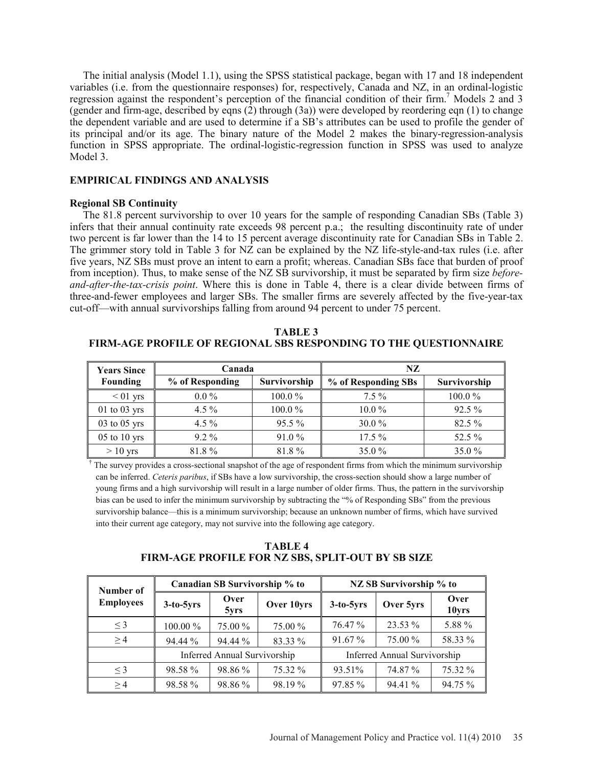The initial analysis (Model 1.1), using the SPSS statistical package, began with 17 and 18 independent variables (i.e. from the questionnaire responses) for, respectively, Canada and NZ, in an ordinal-logistic regression against the respondent's perception of the financial condition of their firm.<sup>7</sup> Models 2 and 3 (gender and firm-age, described by eqns (2) through (3a)) were developed by reordering eqn (1) to change the dependent variable and are used to determine if a SB's attributes can be used to profile the gender of its principal and/or its age. The binary nature of the Model 2 makes the binary-regression-analysis function in SPSS appropriate. The ordinal-logistic-regression function in SPSS was used to analyze Model 3.

# **EMPIRICAL FINDINGS AND ANALYSIS**

# **Regional SB Continuity**

The 81.8 percent survivorship to over 10 years for the sample of responding Canadian SBs (Table 3) infers that their annual continuity rate exceeds 98 percent p.a.; the resulting discontinuity rate of under two percent is far lower than the 14 to 15 percent average discontinuity rate for Canadian SBs in Table 2. The grimmer story told in Table 3 for NZ can be explained by the NZ life-style-and-tax rules (i.e. after five years, NZ SBs must prove an intent to earn a profit; whereas. Canadian SBs face that burden of proof from inception). Thus, to make sense of the NZ SB survivorship, it must be separated by firm size *beforeand-after-the-tax-crisis point*. Where this is done in Table 4, there is a clear divide between firms of three-and-fewer employees and larger SBs. The smaller firms are severely affected by the five-year-tax cut-off—with annual survivorships falling from around 94 percent to under 75 percent.

**TABLE 3 FIRM-AGE PROFILE OF REGIONAL SBS RESPONDING TO THE QUESTIONNAIRE**

| <b>Years Since</b> | Canada          |                     | NZ                  |              |  |  |
|--------------------|-----------------|---------------------|---------------------|--------------|--|--|
| <b>Founding</b>    | % of Responding | <b>Survivorship</b> | % of Responding SBs | Survivorship |  |  |
| $< 01$ yrs         | $0.0\%$         | $100.0\%$           | $7.5\%$             | 100.0%       |  |  |
| $01$ to $03$ yrs   | $4.5\%$         | $100.0\%$           | $10.0\%$            | $92.5\%$     |  |  |
| $03$ to $05$ yrs   | $4.5\%$         | $95.5\%$            | $30.0\%$            | $82.5\%$     |  |  |
| $05$ to $10$ yrs   | $9.2\%$         | $91.0\%$            | $17.5\%$            | 52.5 %       |  |  |
| $>10$ yrs          | 81.8%           | 81.8%               | $35.0\%$            | 35.0%        |  |  |

 $\dagger$ . The survey provides a cross-sectional snapshot of the age of respondent firms from which the minimum survivorship can be inferred. *Ceteris paribus*, if SBs have a low survivorship, the cross-section should show a large number of young firms and a high survivorship will result in a large number of older firms. Thus, the pattern in the survivorship bias can be used to infer the minimum survivorship by subtracting the "% of Responding SBs" from the previous survivorship balance—this is a minimum survivorship; because an unknown number of firms, which have survived into their current age category, may not survive into the following age category.

**TABLE 4 FIRM-AGE PROFILE FOR NZ SBS, SPLIT-OUT BY SB SIZE**

| Number of        |             | Canadian SB Survivorship % to |            | NZ SB Survivorship % to |                                     |               |  |
|------------------|-------------|-------------------------------|------------|-------------------------|-------------------------------------|---------------|--|
| <b>Employees</b> | $3-to-5yrs$ | Over<br>5yrs                  | Over 10yrs | $3-to-5yrs$             | Over 5yrs                           | Over<br>10yrs |  |
| $\leq$ 3         | 100.00 %    | 75.00 %                       | 75.00 %    | 76.47 %                 | 23.53 %                             | 5.88 %        |  |
| $\geq$ 4         | 94.44 %     | 94.44 %                       | 83.33 %    | 91.67 %                 | 75.00 %                             | 58.33 %       |  |
|                  |             | Inferred Annual Survivorship  |            |                         | <b>Inferred Annual Survivorship</b> |               |  |
| $\leq$ 3         | 98.58%      | 98.86 %                       | 75.32 %    | 93.51%                  | 74.87 %                             | 75.32 %       |  |
| >4               | 98.58 %     | 98.86 %                       | 98.19 %    | 97.85 %                 | 94.41 %                             | 94.75 %       |  |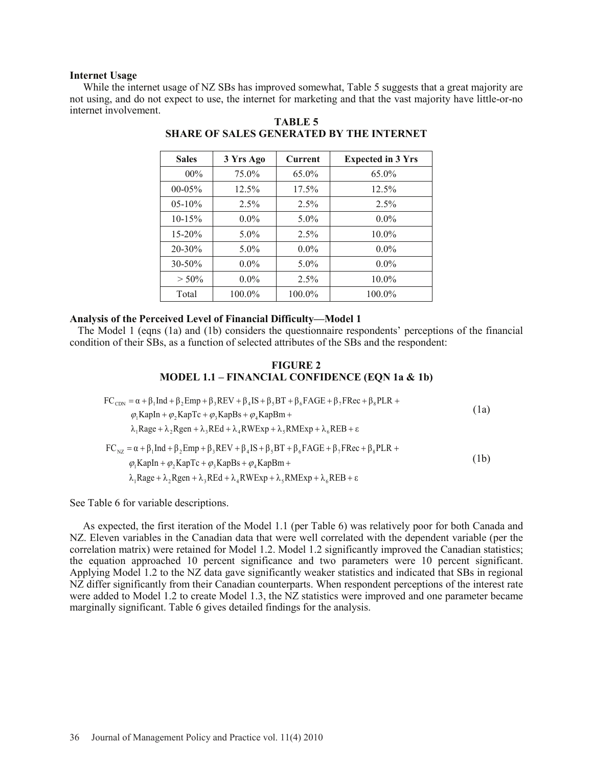#### **Internet Usage**

While the internet usage of NZ SBs has improved somewhat, Table 5 suggests that a great majority are not using, and do not expect to use, the internet for marketing and that the vast majority have little-or-no internet involvement.

| <b>Sales</b> | 3 Yrs Ago | Current | <b>Expected in 3 Yrs</b> |
|--------------|-----------|---------|--------------------------|
| $00\%$       | 75.0%     | 65.0%   | 65.0%                    |
| 00-05%       | 12.5%     | 17.5%   | 12.5%                    |
| $05-10%$     | 2.5%      | 2.5%    | 2.5%                     |
| $10-15%$     | $0.0\%$   | $5.0\%$ | $0.0\%$                  |
| $15 - 20%$   | $5.0\%$   | 2.5%    | $10.0\%$                 |
| 20-30%       | $5.0\%$   | $0.0\%$ | $0.0\%$                  |
| $30 - 50\%$  | $0.0\%$   | $5.0\%$ | $0.0\%$                  |
| $> 50\%$     | $0.0\%$   | 2.5%    | $10.0\%$                 |
| Total        | 100.0%    | 100.0%  | 100.0%                   |

# **TABLE 5 SHARE OF SALES GENERATED BY THE INTERNET**

# **Analysis of the Perceived Level of Financial Difficulty—Model 1**

The Model 1 (eqns (1a) and (1b) considers the questionnaire respondents' perceptions of the financial condition of their SBs, as a function of selected attributes of the SBs and the respondent:

#### **FIGURE 2 MODEL 1.1 – FINANCIAL CONFIDENCE (EQN 1a & 1b)**

$$
FC_{CDN} = \alpha + \beta_1 Ind + \beta_2 Emp + \beta_3 REV + \beta_4 IS + \beta_5 BT + \beta_6 FAGE + \beta_7 FRec + \beta_8 PLR +
$$
  
\n
$$
\varphi_1 KapIn + \varphi_2 KapTc + \varphi_3 KapBs + \varphi_4 KapBm +
$$
  
\n
$$
\lambda_1 Rage + \lambda_2 Regen + \lambda_3 Red + \lambda_4 RWExp + \lambda_5 RMExp + \lambda_6 REB + \epsilon
$$
  
\n
$$
FC_{NZ} = \alpha + \beta_1 Ind + \beta_2 Emp + \beta_3 REV + \beta_4 IS + \beta_5 BT + \beta_6 FAGE + \beta_7 FRec + \beta_8 PLR +
$$
  
\n
$$
\varphi_1 KapIn + \varphi_2 KapTc + \varphi_3 KapBs + \varphi_4 KapBm +
$$
  
\n
$$
\lambda_1 Rage + \lambda_2 Regen + \lambda_3 REd + \lambda_4 RWExp + \lambda_5 RMExp + \lambda_6 REB + \epsilon
$$
  
\n(1b)

See Table 6 for variable descriptions.

As expected, the first iteration of the Model 1.1 (per Table 6) was relatively poor for both Canada and NZ. Eleven variables in the Canadian data that were well correlated with the dependent variable (per the correlation matrix) were retained for Model 1.2. Model 1.2 significantly improved the Canadian statistics; the equation approached 10 percent significance and two parameters were 10 percent significant. Applying Model 1.2 to the NZ data gave significantly weaker statistics and indicated that SBs in regional NZ differ significantly from their Canadian counterparts. When respondent perceptions of the interest rate were added to Model 1.2 to create Model 1.3, the NZ statistics were improved and one parameter became marginally significant. Table 6 gives detailed findings for the analysis.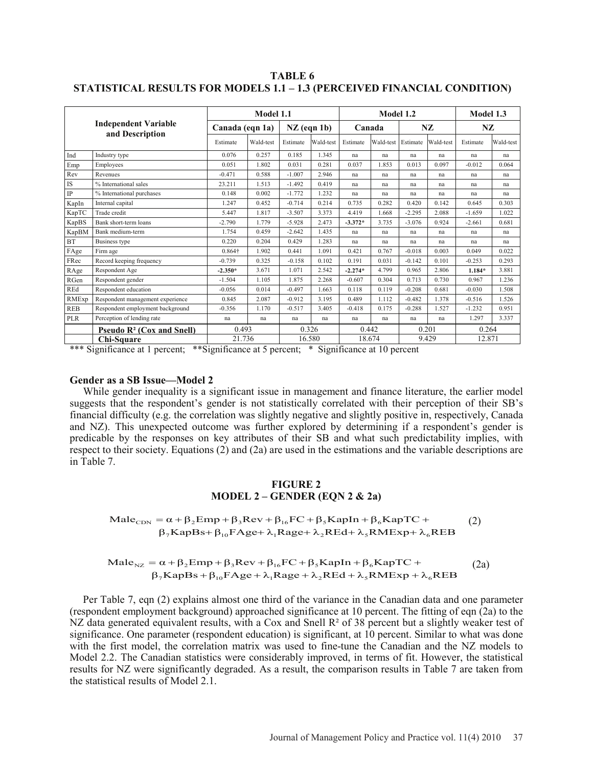**TABLE 6 STATISTICAL RESULTS FOR MODELS 1.1 – 1.3 (PERCEIVED FINANCIAL CONDITION)**

|            |                                                         |                 | Model 1.1 |               |           |           |           | Model 1.2 |           |          |           |  |
|------------|---------------------------------------------------------|-----------------|-----------|---------------|-----------|-----------|-----------|-----------|-----------|----------|-----------|--|
|            | <b>Independent Variable</b><br>and Description          | Canada (eqn 1a) |           | $NZ$ (eqn 1b) |           |           | Canada    |           | NZ        |          | NZ        |  |
|            |                                                         | Estimate        | Wald-test | Estimate      | Wald-test | Estimate  | Wald-test | Estimate  | Wald-test | Estimate | Wald-test |  |
| Ind        | Industry type                                           | 0.076           | 0.257     | 0.185         | 1.345     | na        | na        | na        | na        | na       | na        |  |
| Emp        | Employees                                               | 0.051           | 1.802     | 0.031         | 0.281     | 0.037     | 1.853     | 0.013     | 0.097     | $-0.012$ | 0.064     |  |
| Rev        | Revenues                                                | $-0.471$        | 0.588     | $-1.007$      | 2.946     | na        | na        | na        | na        | na       | na        |  |
| IS         | % International sales                                   | 23.211          | 1.513     | $-1.492$      | 0.419     | na        | na        | na        | na        | na       | na        |  |
| IP         | % International purchases                               | 0.148           | 0.002     | $-1.772$      | 1.232     | na        | na        | na        | na        | na       | na        |  |
| KapIn      | Internal capital                                        | 1.247           | 0.452     | $-0.714$      | 0.214     | 0.735     | 0.282     | 0.420     | 0.142     | 0.645    | 0.303     |  |
| KapTC      | Trade credit                                            | 5.447           | 1.817     | $-3.507$      | 3.373     | 4.419     | 1.668     | $-2.295$  | 2.088     | $-1.659$ | 1.022     |  |
| KapBS      | Bank short-term loans                                   | $-2.790$        | 1.779     | $-5.928$      | 2.473     | $-3.372*$ | 3.735     | $-3.076$  | 0.924     | $-2.661$ | 0.681     |  |
| KapBM      | Bank medium-term                                        | 1.754           | 0.459     | $-2.642$      | 1.435     | na        | na        | na        | na        | na       | na        |  |
| <b>BT</b>  | Business type                                           | 0.220           | 0.204     | 0.429         | 1.283     | na        | na        | na        | na        | na       | na        |  |
| FAge       | Firm age                                                | 0.864†          | 1.902     | 0.441         | 1.091     | 0.421     | 0.767     | $-0.018$  | 0.003     | 0.049    | 0.022     |  |
| FRec       | Record keeping frequency                                | $-0.739$        | 0.325     | $-0.158$      | 0.102     | 0.191     | 0.031     | $-0.142$  | 0.101     | $-0.253$ | 0.293     |  |
| RAge       | Respondent Age                                          | $-2.350*$       | 3.671     | 1.071         | 2.542     | $-2.274*$ | 4.799     | 0.965     | 2.806     | $1.184*$ | 3.881     |  |
| RGen       | Respondent gender                                       | $-1.504$        | 1.105     | 1.875         | 2.268     | $-0.607$  | 0.304     | 0.713     | 0.730     | 0.967    | 1.236     |  |
| REd        | Respondent education                                    | $-0.056$        | 0.014     | $-0.497$      | 1.663     | 0.118     | 0.119     | $-0.208$  | 0.681     | $-0.030$ | 1.508     |  |
| RMExp      | Respondent management experience                        | 0.845           | 2.087     | $-0.912$      | 3.195     | 0.489     | 1.112     | $-0.482$  | 1.378     | $-0.516$ | 1.526     |  |
| <b>REB</b> | Respondent employment background                        | $-0.356$        | 1.170     | $-0.517$      | 3.405     | $-0.418$  | 0.175     | $-0.288$  | 1.527     | $-1.232$ | 0.951     |  |
| PLR        | Perception of lending rate                              | na              | na        | na            | na        | na        | na        | na        | na        | 1.297    | 3.337     |  |
|            | <b>Pseudo <math>\mathbb{R}^2</math> (Cox and Snell)</b> | 0.493           |           | 0.326         |           | 0.442     |           | 0.201     |           | 0.264    |           |  |
|            | Chi-Square                                              | 21.736          |           |               | 16.580    | 18.674    |           |           | 9.429     |          | 12.871    |  |

\*\*\* Significance at 1 percent; \*\* Significance at 5 percent; \* Significance at 10 percent

#### **Gender as a SB Issue—Model 2**

While gender inequality is a significant issue in management and finance literature, the earlier model suggests that the respondent's gender is not statistically correlated with their perception of their SB's financial difficulty (e.g. the correlation was slightly negative and slightly positive in, respectively, Canada and NZ). This unexpected outcome was further explored by determining if a respondent's gender is predicable by the responses on key attributes of their SB and what such predictability implies, with respect to their society. Equations (2) and (2a) are used in the estimations and the variable descriptions are in Table 7.

#### **FIGURE 2 MODEL 2 – GENDER (EQN 2 & 2a)**

Male<sub>CDN</sub> =  $\alpha + \beta_2$ Emp +  $\beta_3$ Rev +  $\beta_{16}$ FC +  $\beta_5$ KapIn +  $\beta_6$ KapTC +<br>  $\beta_7$ KapBs+  $\beta_{10}$ FAge+  $\lambda_1$ Rage+  $\lambda_2$ REd+  $\lambda_5$ RMExp+  $\lambda_6$ REB  $\text{Male}_{\text{CDN}} = \alpha + \beta_2 \text{Emp} + \beta_3 \text{Rev} + \beta_{16} \text{FC} + \beta_5 \text{KapIn} + \beta_6 \text{KapTC} +$  (2)

$$
\begin{aligned}\n\text{Male}_{\text{NZ}} &= \alpha + \beta_2 \text{Emp} + \beta_3 \text{Rev} + \beta_{16} \text{FC} + \beta_5 \text{KapIn} + \beta_6 \text{KapTC} + \\
&\quad \beta_7 \text{KapBs} + \beta_{10} \text{FAge} + \lambda_1 \text{Rage} + \lambda_2 \text{Red} + \lambda_5 \text{RMExp} + \lambda_6 \text{REB}\n\end{aligned}\n\tag{2a}
$$

Per Table 7, eqn (2) explains almost one third of the variance in the Canadian data and one parameter (respondent employment background) approached significance at 10 percent. The fitting of eqn (2a) to the NZ data generated equivalent results, with a Cox and Snell R<sup>2</sup> of 38 percent but a slightly weaker test of significance. One parameter (respondent education) is significant, at 10 percent. Similar to what was done with the first model, the correlation matrix was used to fine-tune the Canadian and the NZ models to Model 2.2. The Canadian statistics were considerably improved, in terms of fit. However, the statistical results for NZ were significantly degraded. As a result, the comparison results in Table 7 are taken from the statistical results of Model 2.1.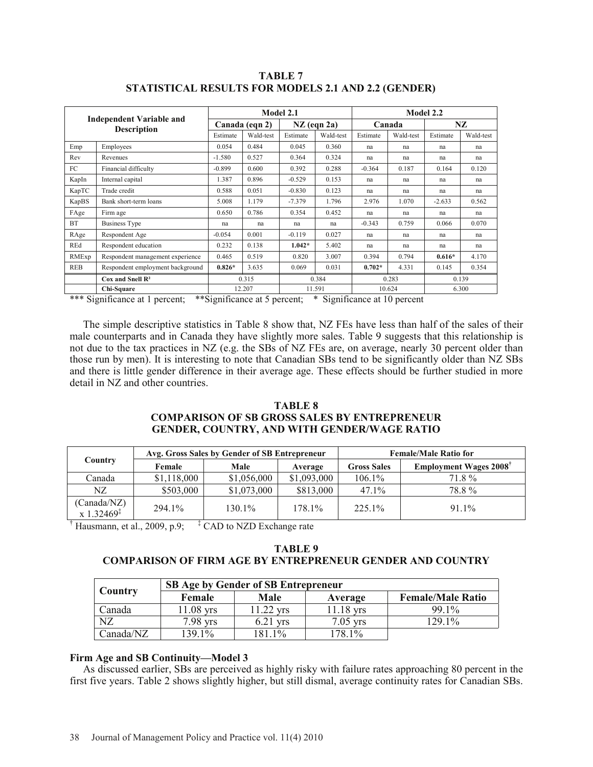|                    |                                                                                                                                                                                                                                                                                                                                                   |                |           | Model 2.1 |               | Model 2.2 |           |          |           |  |
|--------------------|---------------------------------------------------------------------------------------------------------------------------------------------------------------------------------------------------------------------------------------------------------------------------------------------------------------------------------------------------|----------------|-----------|-----------|---------------|-----------|-----------|----------|-----------|--|
|                    | <b>Independent Variable and</b>                                                                                                                                                                                                                                                                                                                   | Canada (eqn 2) |           |           | $NZ$ (eqn 2a) | Canada    |           | NZ       |           |  |
| <b>Description</b> |                                                                                                                                                                                                                                                                                                                                                   | Estimate       | Wald-test | Estimate  | Wald-test     | Estimate  | Wald-test | Estimate | Wald-test |  |
| Emp                | Employees                                                                                                                                                                                                                                                                                                                                         | 0.054          | 0.484     | 0.045     | 0.360         | na        | na        | na       | na        |  |
| Rev                | Revenues                                                                                                                                                                                                                                                                                                                                          | $-1.580$       | 0.527     | 0.364     | 0.324         | na        | na        | na       | na        |  |
| FC                 | Financial difficulty                                                                                                                                                                                                                                                                                                                              | $-0.899$       | 0.600     | 0.392     | 0.288         | $-0.364$  | 0.187     | 0.164    | 0.120     |  |
| KapIn              | Internal capital                                                                                                                                                                                                                                                                                                                                  | 1.387          | 0.896     | $-0.529$  | 0.153         | na        | na        | na       | na        |  |
| KapTC              | Trade credit                                                                                                                                                                                                                                                                                                                                      | 0.588          | 0.051     | $-0.830$  | 0.123         | na        | na        | na       | na        |  |
| KapBS              | Bank short-term loans                                                                                                                                                                                                                                                                                                                             | 5.008          | 1.179     | $-7.379$  | 1.796         | 2.976     | 1.070     | $-2.633$ | 0.562     |  |
| FAge               | Firm age                                                                                                                                                                                                                                                                                                                                          | 0.650          | 0.786     | 0.354     | 0.452         | na        | na        | na       | na        |  |
| <b>BT</b>          | <b>Business Type</b>                                                                                                                                                                                                                                                                                                                              | na             | na        | na        | na            | $-0.343$  | 0.759     | 0.066    | 0.070     |  |
| RAge               | Respondent Age                                                                                                                                                                                                                                                                                                                                    | $-0.054$       | 0.001     | $-0.119$  | 0.027         | na        | na        | na       | na        |  |
| REd                | Respondent education                                                                                                                                                                                                                                                                                                                              | 0.232          | 0.138     | $1.042*$  | 5.402         | na        | na        | na       | na        |  |
| RMExp              | Respondent management experience                                                                                                                                                                                                                                                                                                                  | 0.465          | 0.519     | 0.820     | 3.007         | 0.394     | 0.794     | $0.616*$ | 4.170     |  |
| <b>REB</b>         | Respondent employment background                                                                                                                                                                                                                                                                                                                  | $0.826*$       | 3.635     | 0.069     | 0.031         | $0.702*$  | 4.331     | 0.145    | 0.354     |  |
|                    | $Cox$ and Snell $\mathbb{R}^2$                                                                                                                                                                                                                                                                                                                    |                | 0.315     |           | 0.384         |           | 0.283     |          | 0.139     |  |
|                    | Chi-Square<br>$+ + \alpha$<br>$\frac{1}{2}$ $\frac{1}{2}$ $\frac{1}{2}$ $\frac{1}{2}$ $\frac{1}{2}$ $\frac{1}{2}$ $\frac{1}{2}$ $\frac{1}{2}$ $\frac{1}{2}$ $\frac{1}{2}$ $\frac{1}{2}$ $\frac{1}{2}$ $\frac{1}{2}$ $\frac{1}{2}$ $\frac{1}{2}$ $\frac{1}{2}$ $\frac{1}{2}$ $\frac{1}{2}$ $\frac{1}{2}$ $\frac{1}{2}$ $\frac{1}{2}$ $\frac{1}{2}$ |                | 12.207    |           | 11.591        | 10.624    |           | 6.300    |           |  |

**TABLE 7 STATISTICAL RESULTS FOR MODELS 2.1 AND 2.2 (GENDER)**

\*\*\* Significance at 1 percent; \*\* Significance at 5 percent; \* Significance at 10 percent

The simple descriptive statistics in Table 8 show that, NZ FEs have less than half of the sales of their male counterparts and in Canada they have slightly more sales. Table 9 suggests that this relationship is not due to the tax practices in NZ (e.g. the SBs of NZ FEs are, on average, nearly 30 percent older than those run by men). It is interesting to note that Canadian SBs tend to be significantly older than NZ SBs and there is little gender difference in their average age. These effects should be further studied in more detail in NZ and other countries.

# **TABLE 8 COMPARISON OF SB GROSS SALES BY ENTREPRENEUR GENDER, COUNTRY, AND WITH GENDER/WAGE RATIO**

|                                       |             | Avg. Gross Sales by Gender of SB Entrepreneur |             | <b>Female/Male Ratio for</b> |                              |  |  |
|---------------------------------------|-------------|-----------------------------------------------|-------------|------------------------------|------------------------------|--|--|
| Country                               | Female      | Male                                          |             | <b>Gross Sales</b>           | <b>Employment Wages 2008</b> |  |  |
| Canada                                | \$1,118,000 | \$1,056,000                                   | \$1,093,000 | 106.1%                       | 71.8%                        |  |  |
| NZ.                                   | \$503,000   | \$1,073,000                                   | \$813,000   | 47.1%                        | 78.8%                        |  |  |
| (Canada/NZ)<br>$x 1.32469^{\ddagger}$ | 294.1%      | 130.1%                                        | 178 1%      | 225.1%                       | $91.1\%$                     |  |  |

<sup>†</sup> Hausmann, et al., 2009, p.9;  $\vec{F}$  CAD to NZD Exchange rate

# **TABLE 9 COMPARISON OF FIRM AGE BY ENTREPRENEUR GENDER AND COUNTRY**

|           | <b>SB Age by Gender of SB Entrepreneur</b> |             |             |                          |  |  |  |  |  |
|-----------|--------------------------------------------|-------------|-------------|--------------------------|--|--|--|--|--|
| Country   | Female                                     | Male        | Average     | <b>Female/Male Ratio</b> |  |  |  |  |  |
| Canada    | 11.08 yrs                                  | $11.22$ yrs | $11.18$ yrs | 99.1%                    |  |  |  |  |  |
| NZ        | $7.98$ yrs                                 | $6.21$ yrs  | $7.05$ yrs  | 129.1%                   |  |  |  |  |  |
| Canada/NZ | 139.1%                                     | 181.1%      | 178.1%      |                          |  |  |  |  |  |

# **Firm Age and SB Continuity—Model 3**

As discussed earlier, SBs are perceived as highly risky with failure rates approaching 80 percent in the first five years. Table 2 shows slightly higher, but still dismal, average continuity rates for Canadian SBs.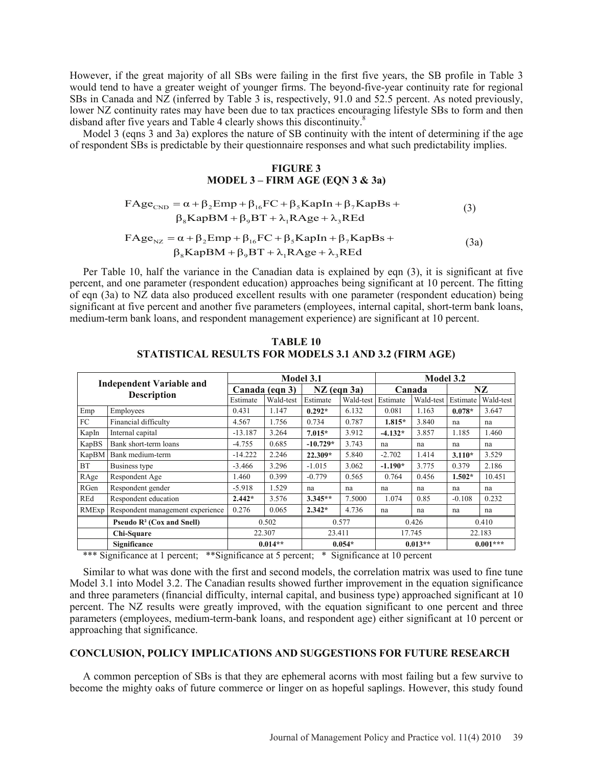However, if the great majority of all SBs were failing in the first five years, the SB profile in Table 3 would tend to have a greater weight of younger firms. The beyond-five-year continuity rate for regional SBs in Canada and NZ (inferred by Table 3 is, respectively, 91.0 and 52.5 percent. As noted previously, lower NZ continuity rates may have been due to tax practices encouraging lifestyle SBs to form and then disband after five years and Table 4 clearly shows this discontinuity.<sup>8</sup>

Model 3 (eqns 3 and 3a) explores the nature of SB continuity with the intent of determining if the age of respondent SBs is predictable by their questionnaire responses and what such predictability implies.

# **FIGURE 3 MODEL 3 – FIRM AGE (EQN 3 & 3a)**

$$
FAge_{CND} = \alpha + \beta_2 Emp + \beta_{16} FC + \beta_5 KapIn + \beta_7 KapBs +
$$
  
\n
$$
\beta_8 KapBM + \beta_9 BT + \lambda_1 RAge + \lambda_3 REd
$$
\n(3)

$$
FAge_{NZ} = \alpha + \beta_2 Emp + \beta_{16} FC + \beta_5 KapIn + \beta_7 KapBs +
$$
  

$$
\beta_8 KapBM + \beta_9 BT + \lambda_1 RAge + \lambda_3 Red
$$
 (3a)

Per Table 10, half the variance in the Canadian data is explained by eqn (3), it is significant at five percent, and one parameter (respondent education) approaches being significant at 10 percent. The fitting of eqn (3a) to NZ data also produced excellent results with one parameter (respondent education) being significant at five percent and another five parameters (employees, internal capital, short-term bank loans, medium-term bank loans, and respondent management experience) are significant at 10 percent.

|                    |                                                         |           | Model 3.1      |            |                 |           | Model 3.2 |            |           |  |
|--------------------|---------------------------------------------------------|-----------|----------------|------------|-----------------|-----------|-----------|------------|-----------|--|
|                    | <b>Independent Variable and</b>                         |           | Canada (eqn 3) |            | $NZ$ (eqn $3a)$ | Canada    |           | NZ.        |           |  |
| <b>Description</b> |                                                         | Estimate  | Wald-test      | Estimate   | Wald-test       | Estimate  | Wald-test | Estimate   | Wald-test |  |
| Emp                | Employees                                               | 0.431     | 1.147          | $0.292*$   | 6.132           | 0.081     | 1.163     | $0.078*$   | 3.647     |  |
| FC                 | Financial difficulty                                    | 4.567     | 1.756          | 0.734      | 0.787           | $1.815*$  | 3.840     | na         | na        |  |
| KapIn              | Internal capital                                        | $-13.187$ | 3.264          | $7.015*$   | 3.912           | $-4.132*$ | 3.857     | 1.185      | 1.460     |  |
| KapBS              | Bank short-term loans                                   | $-4.755$  | 0.685          | $-10.729*$ | 3.743           | na        | na        | na         | na        |  |
| KapBM              | Bank medium-term                                        | $-14.222$ | 2.246          | $22.309*$  | 5.840           | $-2.702$  | 1.414     | $3.110*$   | 3.529     |  |
| <b>BT</b>          | Business type                                           | $-3.466$  | 3.296          | $-1.015$   | 3.062           | $-1.190*$ | 3.775     | 0.379      | 2.186     |  |
| RAge               | Respondent Age                                          | 1.460     | 0.399          | $-0.779$   | 0.565           | 0.764     | 0.456     | $1.502*$   | 10.451    |  |
| RGen               | Respondent gender                                       | $-5.918$  | 1.529          | na         | na              | na        | na        | na         | na        |  |
| REd                | Respondent education                                    | $2.442*$  | 3.576          | $3.345**$  | 7.5000          | 1.074     | 0.85      | $-0.108$   | 0.232     |  |
| RMExp              | Respondent management experience                        | 0.276     | 0.065          | $2.342*$   | 4.736           | na        | na        | na         | na        |  |
|                    | <b>Pseudo <math>\mathbb{R}^2</math> (Cox and Snell)</b> | 0.502     |                | 0.577      |                 | 0.426     |           | 0.410      |           |  |
|                    | Chi-Square                                              |           | 22.307         | 23.411     |                 | 17.745    |           | 22.183     |           |  |
|                    | Significance                                            |           | $0.014**$      | $0.054*$   |                 | $0.013**$ |           | $0.001***$ |           |  |

**TABLE 10 STATISTICAL RESULTS FOR MODELS 3.1 AND 3.2 (FIRM AGE)**

\*\*\* Significance at 1 percent; \*\* Significance at 5 percent; \* Significance at 10 percent

Similar to what was done with the first and second models, the correlation matrix was used to fine tune Model 3.1 into Model 3.2. The Canadian results showed further improvement in the equation significance and three parameters (financial difficulty, internal capital, and business type) approached significant at 10 percent. The NZ results were greatly improved, with the equation significant to one percent and three parameters (employees, medium-term-bank loans, and respondent age) either significant at 10 percent or approaching that significance.

# **CONCLUSION, POLICY IMPLICATIONS AND SUGGESTIONS FOR FUTURE RESEARCH**

A common perception of SBs is that they are ephemeral acorns with most failing but a few survive to become the mighty oaks of future commerce or linger on as hopeful saplings. However, this study found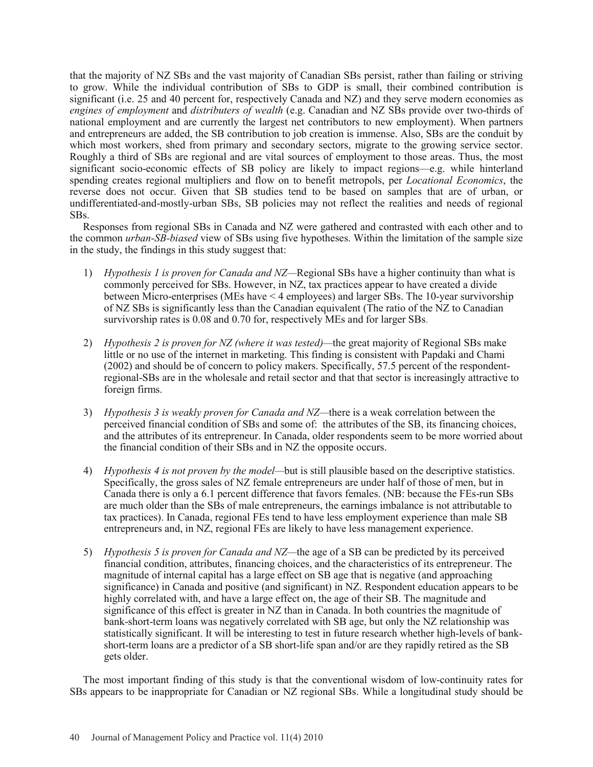that the majority of NZ SBs and the vast majority of Canadian SBs persist, rather than failing or striving to grow. While the individual contribution of SBs to GDP is small, their combined contribution is significant (i.e. 25 and 40 percent for, respectively Canada and NZ) and they serve modern economies as *engines of employment* and *distributers of wealth* (e.g. Canadian and NZ SBs provide over two-thirds of national employment and are currently the largest net contributors to new employment). When partners and entrepreneurs are added, the SB contribution to job creation is immense. Also, SBs are the conduit by which most workers, shed from primary and secondary sectors, migrate to the growing service sector. Roughly a third of SBs are regional and are vital sources of employment to those areas. Thus, the most significant socio-economic effects of SB policy are likely to impact regions—e.g. while hinterland spending creates regional multipliers and flow on to benefit metropols, per *Locational Economics*, the reverse does not occur. Given that SB studies tend to be based on samples that are of urban, or undifferentiated-and-mostly-urban SBs, SB policies may not reflect the realities and needs of regional SBs.

Responses from regional SBs in Canada and NZ were gathered and contrasted with each other and to the common *urban-SB-biased* view of SBs using five hypotheses. Within the limitation of the sample size in the study, the findings in this study suggest that:

- 1) *Hypothesis 1 is proven for Canada and NZ—*Regional SBs have a higher continuity than what is commonly perceived for SBs. However, in NZ, tax practices appear to have created a divide between Micro-enterprises (MEs have < 4 employees) and larger SBs. The 10-year survivorship of NZ SBs is significantly less than the Canadian equivalent (The ratio of the NZ to Canadian survivorship rates is 0.08 and 0.70 for, respectively MEs and for larger SBs.
- 2) *Hypothesis 2 is proven for NZ (where it was tested)—*the great majority of Regional SBs make little or no use of the internet in marketing. This finding is consistent with Papdaki and Chami (2002) and should be of concern to policy makers. Specifically, 57.5 percent of the respondentregional-SBs are in the wholesale and retail sector and that that sector is increasingly attractive to foreign firms.
- 3) *Hypothesis 3 is weakly proven for Canada and NZ—*there is a weak correlation between the perceived financial condition of SBs and some of: the attributes of the SB, its financing choices, and the attributes of its entrepreneur. In Canada, older respondents seem to be more worried about the financial condition of their SBs and in NZ the opposite occurs.
- 4) *Hypothesis 4 is not proven by the model—*but is still plausible based on the descriptive statistics. Specifically, the gross sales of NZ female entrepreneurs are under half of those of men, but in Canada there is only a 6.1 percent difference that favors females. (NB: because the FEs-run SBs are much older than the SBs of male entrepreneurs, the earnings imbalance is not attributable to tax practices). In Canada, regional FEs tend to have less employment experience than male SB entrepreneurs and, in NZ, regional FEs are likely to have less management experience.
- 5) *Hypothesis 5 is proven for Canada and NZ—*the age of a SB can be predicted by its perceived financial condition, attributes, financing choices, and the characteristics of its entrepreneur. The magnitude of internal capital has a large effect on SB age that is negative (and approaching significance) in Canada and positive (and significant) in NZ. Respondent education appears to be highly correlated with, and have a large effect on, the age of their SB. The magnitude and significance of this effect is greater in NZ than in Canada. In both countries the magnitude of bank-short-term loans was negatively correlated with SB age, but only the NZ relationship was statistically significant. It will be interesting to test in future research whether high-levels of bankshort-term loans are a predictor of a SB short-life span and/or are they rapidly retired as the SB gets older.

 The most important finding of this study is that the conventional wisdom of low-continuity rates for SBs appears to be inappropriate for Canadian or NZ regional SBs. While a longitudinal study should be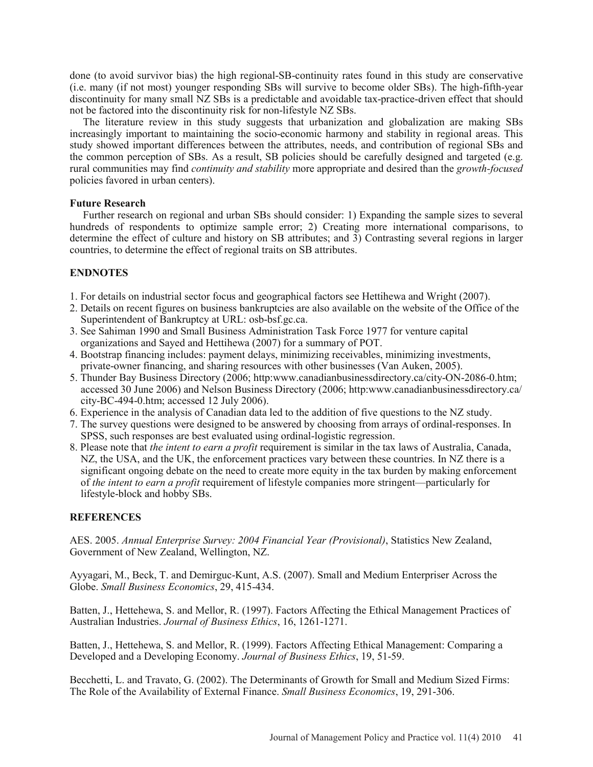done (to avoid survivor bias) the high regional-SB-continuity rates found in this study are conservative (i.e. many (if not most) younger responding SBs will survive to become older SBs). The high-fifth-year discontinuity for many small NZ SBs is a predictable and avoidable tax-practice-driven effect that should not be factored into the discontinuity risk for non-lifestyle NZ SBs.

The literature review in this study suggests that urbanization and globalization are making SBs increasingly important to maintaining the socio-economic harmony and stability in regional areas. This study showed important differences between the attributes, needs, and contribution of regional SBs and the common perception of SBs. As a result, SB policies should be carefully designed and targeted (e.g. rural communities may find *continuity and stability* more appropriate and desired than the *growth-focused* policies favored in urban centers).

# **Future Research**

Further research on regional and urban SBs should consider: 1) Expanding the sample sizes to several hundreds of respondents to optimize sample error; 2) Creating more international comparisons, to determine the effect of culture and history on SB attributes; and 3) Contrasting several regions in larger countries, to determine the effect of regional traits on SB attributes.

# **ENDNOTES**

- 1. For details on industrial sector focus and geographical factors see Hettihewa and Wright (2007).
- 2. Details on recent figures on business bankruptcies are also available on the website of the Office of the Superintendent of Bankruptcy at URL: osb-bsf.gc.ca.
- 3. See Sahiman 1990 and Small Business Administration Task Force 1977 for venture capital organizations and Sayed and Hettihewa (2007) for a summary of POT.
- 4. Bootstrap financing includes: payment delays, minimizing receivables, minimizing investments, private-owner financing, and sharing resources with other businesses (Van Auken, 2005).
- 5. Thunder Bay Business Directory (2006; http:www.canadianbusinessdirectory.ca/city-ON-2086-0.htm; accessed 30 June 2006) and Nelson Business Directory (2006; http:www.canadianbusinessdirectory.ca/ city-BC-494-0.htm; accessed 12 July 2006).
- 6. Experience in the analysis of Canadian data led to the addition of five questions to the NZ study.
- 7. The survey questions were designed to be answered by choosing from arrays of ordinal-responses. In SPSS, such responses are best evaluated using ordinal-logistic regression.
- 8. Please note that *the intent to earn a profit* requirement is similar in the tax laws of Australia, Canada, NZ, the USA, and the UK, the enforcement practices vary between these countries. In NZ there is a significant ongoing debate on the need to create more equity in the tax burden by making enforcement of *the intent to earn a profit* requirement of lifestyle companies more stringent—particularly for lifestyle-block and hobby SBs.

# **REFERENCES**

AES. 2005. *Annual Enterprise Survey: 2004 Financial Year (Provisional)*, Statistics New Zealand, Government of New Zealand, Wellington, NZ.

Ayyagari, M., Beck, T. and Demirguc-Kunt, A.S. (2007). Small and Medium Enterpriser Across the Globe. *Small Business Economics*, 29, 415-434.

Batten, J., Hettehewa, S. and Mellor, R. (1997). Factors Affecting the Ethical Management Practices of Australian Industries. *Journal of Business Ethics*, 16, 1261-1271.

Batten, J., Hettehewa, S. and Mellor, R. (1999). Factors Affecting Ethical Management: Comparing a Developed and a Developing Economy. *Journal of Business Ethics*, 19, 51-59.

Becchetti, L. and Travato, G. (2002). The Determinants of Growth for Small and Medium Sized Firms: The Role of the Availability of External Finance. *Small Business Economics*, 19, 291-306.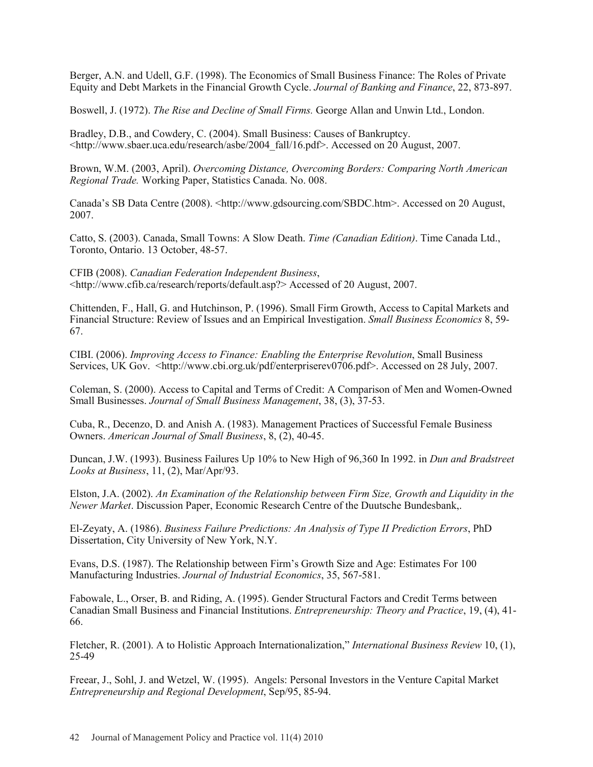Berger, A.N. and Udell, G.F. (1998). The Economics of Small Business Finance: The Roles of Private Equity and Debt Markets in the Financial Growth Cycle. *Journal of Banking and Finance*, 22, 873-897.

Boswell, J. (1972). *The Rise and Decline of Small Firms.* George Allan and Unwin Ltd., London.

Bradley, D.B., and Cowdery, C. (2004). Small Business: Causes of Bankruptcy. <http://www.sbaer.uca.edu/research/asbe/2004\_fall/16.pdf>. Accessed on 20 August, 2007.

Brown, W.M. (2003, April). *Overcoming Distance, Overcoming Borders: Comparing North American Regional Trade.* Working Paper, Statistics Canada. No. 008.

Canada's SB Data Centre (2008). <http://www.gdsourcing.com/SBDC.htm>. Accessed on 20 August, 2007.

Catto, S. (2003). Canada, Small Towns: A Slow Death. *Time (Canadian Edition)*. Time Canada Ltd., Toronto, Ontario. 13 October, 48-57.

CFIB (2008). *Canadian Federation Independent Business*, <http://www.cfib.ca/research/reports/default.asp?> Accessed of 20 August, 2007.

Chittenden, F., Hall, G. and Hutchinson, P. (1996). Small Firm Growth, Access to Capital Markets and Financial Structure: Review of Issues and an Empirical Investigation. *Small Business Economics* 8, 59- 67.

CIBI. (2006). *Improving Access to Finance: Enabling the Enterprise Revolution*, Small Business Services, UK Gov. <http://www.cbi.org.uk/pdf/enterpriserev0706.pdf>. Accessed on 28 July, 2007.

Coleman, S. (2000). Access to Capital and Terms of Credit: A Comparison of Men and Women-Owned Small Businesses. *Journal of Small Business Management*, 38, (3), 37-53.

Cuba, R., Decenzo, D. and Anish A. (1983). Management Practices of Successful Female Business Owners. *American Journal of Small Business*, 8, (2), 40-45.

Duncan, J.W. (1993). Business Failures Up 10% to New High of 96,360 In 1992. in *Dun and Bradstreet Looks at Business*, 11, (2), Mar/Apr/93.

Elston, J.A. (2002). *An Examination of the Relationship between Firm Size, Growth and Liquidity in the Newer Market*. Discussion Paper, Economic Research Centre of the Duutsche Bundesbank,.

El-Zeyaty, A. (1986). *Business Failure Predictions: An Analysis of Type II Prediction Errors*, PhD Dissertation, City University of New York, N.Y.

Evans, D.S. (1987). The Relationship between Firm's Growth Size and Age: Estimates For 100 Manufacturing Industries. *Journal of Industrial Economics*, 35, 567-581.

Fabowale, L., Orser, B. and Riding, A. (1995). Gender Structural Factors and Credit Terms between Canadian Small Business and Financial Institutions. *Entrepreneurship: Theory and Practice*, 19, (4), 41- 66.

Fletcher, R. (2001). A to Holistic Approach Internationalization," *International Business Review* 10, (1), 25-49

Freear, J., Sohl, J. and Wetzel, W. (1995). Angels: Personal Investors in the Venture Capital Market *Entrepreneurship and Regional Development*, Sep/95, 85-94.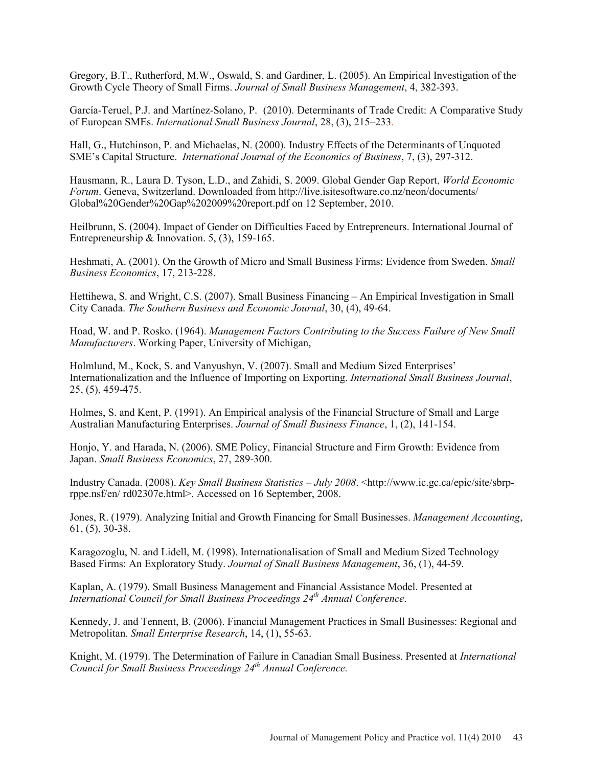Gregory, B.T., Rutherford, M.W., Oswald, S. and Gardiner, L. (2005). An Empirical Investigation of the Growth Cycle Theory of Small Firms. *Journal of Small Business Management*, 4, 382-393.

García-Teruel, P.J. and Martínez-Solano, P. (2010). Determinants of Trade Credit: A Comparative Study of European SMEs. *International Small Business Journal*, 28, (3), 215–233.

Hall, G., Hutchinson, P. and Michaelas, N. (2000). Industry Effects of the Determinants of Unquoted SME's Capital Structure. *International Journal of the Economics of Business*, 7, (3), 297-312.

Hausmann, R., Laura D. Tyson, L.D., and Zahidi, S. 2009. Global Gender Gap Report, *World Economic Forum*. Geneva, Switzerland. Downloaded from http://live.isitesoftware.co.nz/neon/documents/ Global%20Gender%20Gap%202009%20report.pdf on 12 September, 2010.

Heilbrunn, S. (2004). Impact of Gender on Difficulties Faced by Entrepreneurs. International Journal of Entrepreneurship & Innovation. 5, (3), 159-165.

Heshmati, A. (2001). On the Growth of Micro and Small Business Firms: Evidence from Sweden. *Small Business Economics*, 17, 213-228.

Hettihewa, S. and Wright, C.S. (2007). Small Business Financing – An Empirical Investigation in Small City Canada. *The Southern Business and Economic Journal*, 30, (4), 49-64.

Hoad, W. and P. Rosko. (1964). *Management Factors Contributing to the Success Failure of New Small Manufacturers*. Working Paper, University of Michigan,

Holmlund, M., Kock, S. and Vanyushyn, V. (2007). Small and Medium Sized Enterprises' Internationalization and the Influence of Importing on Exporting. *International Small Business Journal*, 25, (5), 459-475.

Holmes, S. and Kent, P. (1991). An Empirical analysis of the Financial Structure of Small and Large Australian Manufacturing Enterprises. *Journal of Small Business Finance*, 1, (2), 141-154.

Honjo, Y. and Harada, N. (2006). SME Policy, Financial Structure and Firm Growth: Evidence from Japan. *Small Business Economics*, 27, 289-300.

Industry Canada. (2008). *Key Small Business Statistics – July 2008*. <http://www.ic.gc.ca/epic/site/sbrprppe.nsf/en/ rd02307e.html>. Accessed on 16 September, 2008.

Jones, R. (1979). Analyzing Initial and Growth Financing for Small Businesses. *Management Accounting*, 61, (5), 30-38.

Karagozoglu, N. and Lidell, M. (1998). Internationalisation of Small and Medium Sized Technology Based Firms: An Exploratory Study. *Journal of Small Business Management*, 36, (1), 44-59.

Kaplan, A. (1979). Small Business Management and Financial Assistance Model. Presented at *International Council for Small Business Proceedings 24th Annual Conference*.

Kennedy, J. and Tennent, B. (2006). Financial Management Practices in Small Businesses: Regional and Metropolitan. *Small Enterprise Research*, 14, (1), 55-63.

Knight, M. (1979). The Determination of Failure in Canadian Small Business. Presented at *International Council for Small Business Proceedings 24th Annual Conference.*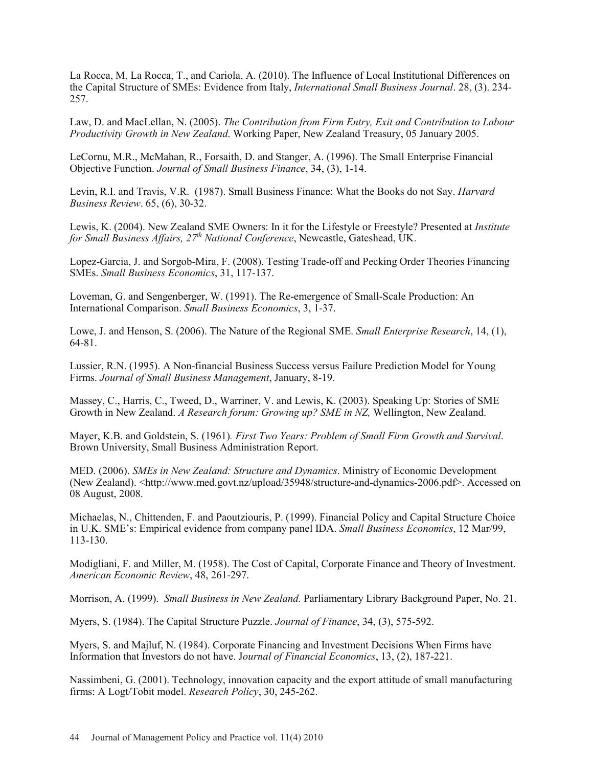La Rocca, M, La Rocca, T., and Cariola, A. (2010). The Influence of Local Institutional Differences on the Capital Structure of SMEs: Evidence from Italy, *International Small Business Journal*. 28, (3). 234- 257.

Law, D. and MacLellan, N. (2005). *The Contribution from Firm Entry, Exit and Contribution to Labour Productivity Growth in New Zealand*. Working Paper, New Zealand Treasury, 05 January 2005.

LeCornu, M.R., McMahan, R., Forsaith, D. and Stanger, A. (1996). The Small Enterprise Financial Objective Function. *Journal of Small Business Finance*, 34, (3), 1-14.

Levin, R.I. and Travis, V.R. (1987). Small Business Finance: What the Books do not Say. *Harvard Business Review*. 65, (6), 30-32.

Lewis, K. (2004). New Zealand SME Owners: In it for the Lifestyle or Freestyle? Presented at *Institute for Small Business Affairs, 27th National Conference*, Newcastle, Gateshead, UK.

Lopez-Garcia, J. and Sorgob-Mira, F. (2008). Testing Trade-off and Pecking Order Theories Financing SMEs. *Small Business Economics*, 31, 117-137.

Loveman, G. and Sengenberger, W. (1991). The Re-emergence of Small-Scale Production: An International Comparison. *Small Business Economics*, 3, 1-37.

Lowe, J. and Henson, S. (2006). The Nature of the Regional SME. *Small Enterprise Research*, 14, (1), 64-81.

Lussier, R.N. (1995). A Non-financial Business Success versus Failure Prediction Model for Young Firms. *Journal of Small Business Management*, January, 8-19.

Massey, C., Harris, C., Tweed, D., Warriner, V. and Lewis, K. (2003). Speaking Up: Stories of SME Growth in New Zealand. *A Research forum: Growing up? SME in NZ,* Wellington, New Zealand.

Mayer, K.B. and Goldstein, S. (1961)*. First Two Years: Problem of Small Firm Growth and Survival*. Brown University, Small Business Administration Report.

MED. (2006). *SMEs in New Zealand: Structure and Dynamics*. Ministry of Economic Development (New Zealand). <http://www.med.govt.nz/upload/35948/structure-and-dynamics-2006.pdf>. Accessed on 08 August, 2008.

Michaelas, N., Chittenden, F. and Paoutziouris, P. (1999). Financial Policy and Capital Structure Choice in U.K. SME's: Empirical evidence from company panel IDA. *Small Business Economics*, 12 Mar/99, 113-130.

Modigliani, F. and Miller, M. (1958). The Cost of Capital, Corporate Finance and Theory of Investment. *American Economic Review*, 48, 261-297.

Morrison, A. (1999). *Small Business in New Zealand.* Parliamentary Library Background Paper, No. 21.

Myers, S. (1984). The Capital Structure Puzzle. *Journal of Finance*, 34, (3), 575-592.

Myers, S. and Majluf, N. (1984). Corporate Financing and Investment Decisions When Firms have Information that Investors do not have. J*ournal of Financial Economics*, 13, (2), 187-221.

Nassimbeni, G. (2001). Technology, innovation capacity and the export attitude of small manufacturing firms: A Logt/Tobit model. *Research Policy*, 30, 245-262.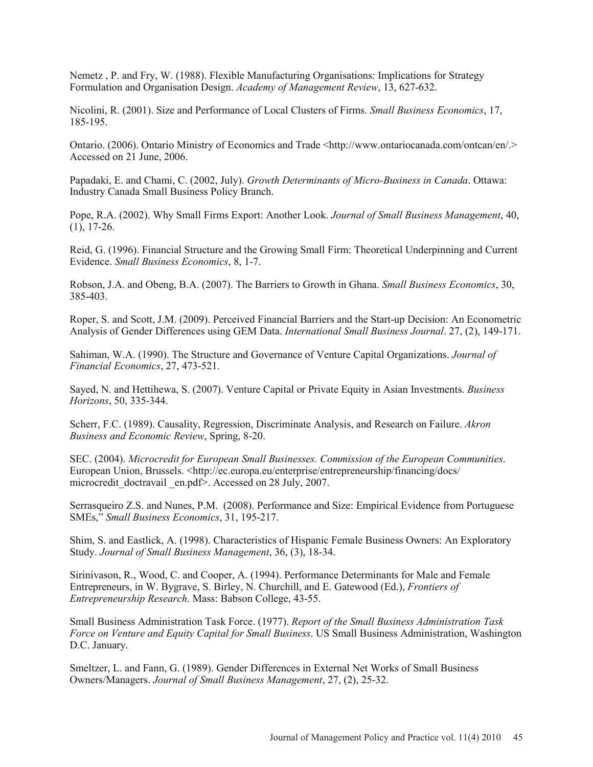Nemetz , P. and Fry, W. (1988). Flexible Manufacturing Organisations: Implications for Strategy Formulation and Organisation Design. *Academy of Management Review*, 13, 627-632.

Nicolini, R. (2001). Size and Performance of Local Clusters of Firms. *Small Business Economics*, 17, 185-195.

Ontario. (2006). Ontario Ministry of Economics and Trade <http://www.ontariocanada.com/ontcan/en/.> Accessed on 21 June, 2006.

Papadaki, E. and Chami, C. (2002, July). *Growth Determinants of Micro-Business in Canada*. Ottawa: Industry Canada Small Business Policy Branch.

Pope, R.A. (2002). Why Small Firms Export: Another Look. *Journal of Small Business Management*, 40,  $(1), 17-26.$ 

Reid, G. (1996). Financial Structure and the Growing Small Firm: Theoretical Underpinning and Current Evidence. *Small Business Economics*, 8, 1-7.

Robson, J.A. and Obeng, B.A. (2007). The Barriers to Growth in Ghana. *Small Business Economics*, 30, 385-403.

Roper, S. and Scott, J.M. (2009). Perceived Financial Barriers and the Start-up Decision: An Econometric Analysis of Gender Differences using GEM Data. *International Small Business Journal*. 27, (2), 149-171.

Sahiman, W.A. (1990). The Structure and Governance of Venture Capital Organizations. *Journal of Financial Economics*, 27, 473-521.

Sayed, N. and Hettihewa, S. (2007). Venture Capital or Private Equity in Asian Investments. *Business Horizons*, 50, 335-344.

Scherr, F.C. (1989). Causality, Regression, Discriminate Analysis, and Research on Failure. *Akron Business and Economic Review*, Spring, 8-20.

SEC. (2004). *Microcredit for European Small Businesses. Commission of the European Communities*. European Union, Brussels. <http://ec.europa.eu/enterprise/entrepreneurship/financing/docs/ microcredit doctravail en.pdf>. Accessed on 28 July, 2007.

Serrasqueiro Z.S. and Nunes, P.M. (2008). Performance and Size: Empirical Evidence from Portuguese SMEs," *Small Business Economics*, 31, 195-217.

Shim, S. and Eastlick, A. (1998). Characteristics of Hispanic Female Business Owners: An Exploratory Study. *Journal of Small Business Management*, 36, (3), 18-34.

Sirinivason, R., Wood, C. and Cooper, A. (1994). Performance Determinants for Male and Female Entrepreneurs, in W. Bygrave, S. Birley, N. Churchill, and E. Gatewood (Ed.), *Frontiers of Entrepreneurship Research*. Mass: Babson College, 43-55.

Small Business Administration Task Force. (1977). *Report of the Small Business Administration Task Force on Venture and Equity Capital for Small Business*. US Small Business Administration, Washington D.C. January.

Smeltzer, L. and Fann, G. (1989). Gender Differences in External Net Works of Small Business Owners/Managers. *Journal of Small Business Management*, 27, (2), 25-32.